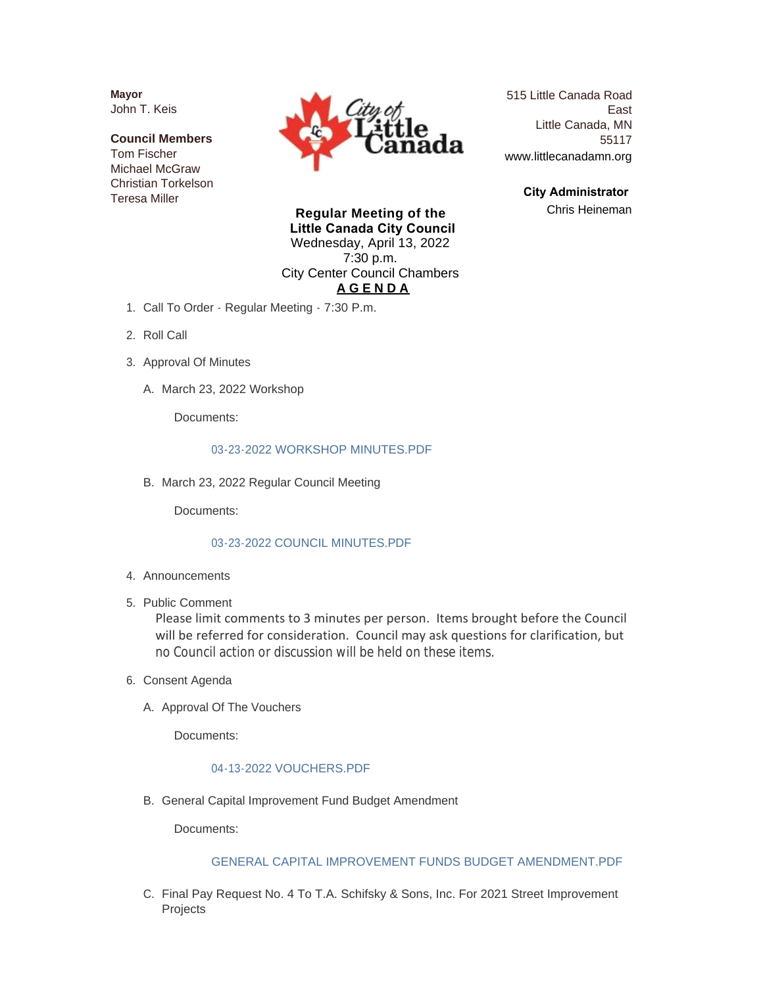**Mayor** John T. Keis

**Council Members** Tom Fischer Michael McGraw Christian Torkelson Teresa Miller



515 Little Canada Road East Little Canada, MN 55117 www.littlecanadamn.org

> **City Administrator**  Chris Heineman

**Regular Meeting of the Little Canada City Council** Wednesday, April 13, 2022 7:30 p.m. City Center Council Chambers **A G E N D A**

- 1. Call To Order Regular Meeting 7:30 P.m.
- 2. Roll Call
- 3. Approval Of Minutes
	- A. March 23, 2022 Workshop

Documents:

#### [03-23-2022 WORKSHOP MINUTES.PDF](http://www.littlecanadamn.org/AgendaCenter/ViewFile/Item/3921?fileID=3659)

B. March 23, 2022 Regular Council Meeting

Documents:

#### [03-23-2022 COUNCIL MINUTES.PDF](http://www.littlecanadamn.org/AgendaCenter/ViewFile/Item/3922?fileID=3664)

- 4. Announcements
- 5. Public Comment

Please limit comments to 3 minutes per person. Items brought before the Council will be referred for consideration. Council may ask questions for clarification, but no Council action or discussion will be held on these items.

- 6. Consent Agenda
	- A. Approval Of The Vouchers

Documents:

#### [04-13-2022 VOUCHERS.PDF](http://www.littlecanadamn.org/AgendaCenter/ViewFile/Item/3916?fileID=3669)

B. General Capital Improvement Fund Budget Amendment

Documents:

## [GENERAL CAPITAL IMPROVEMENT FUNDS BUDGET AMENDMENT.PDF](http://www.littlecanadamn.org/AgendaCenter/ViewFile/Item/3923?fileID=3660)

C. Final Pay Request No. 4 To T.A. Schifsky & Sons, Inc. For 2021 Street Improvement Projects